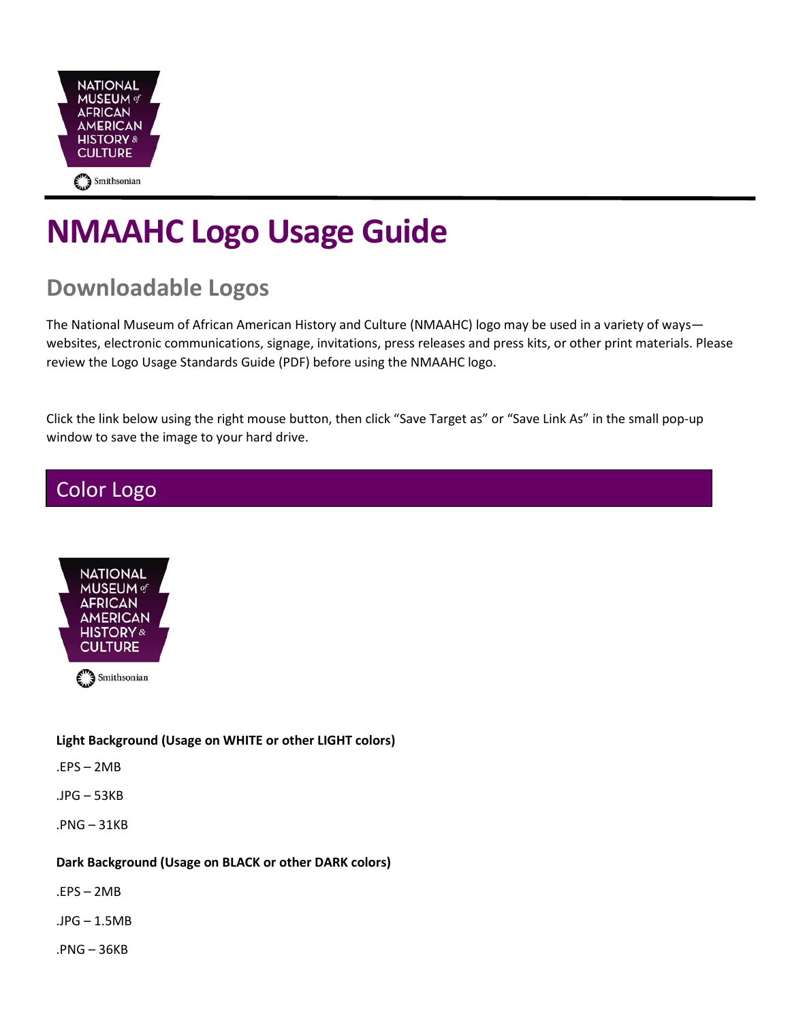

# **NMAAHC Logo Usage Guide**

# **Downloadable Logos**

The National Museum of African American History and Culture (NMAAHC) logo may be used in a variety of ways websites, electronic communications, signage, invitations, press releases and press kits, or other print materials. Please review the Logo Usage Standards Guide (PDF) before using the NMAAHC logo.

Click the link below using the right mouse button, then click "Save Target as" or "Save Link As" in the small pop-up window to save the image to your hard drive.

### Color Logo



#### **Light Background (Usage on WHITE or other LIGHT colors)**

.EPS – 2MB

- .JPG 53KB
- .PNG 31KB

#### **Dark Background (Usage on BLACK or other DARK colors)**

- .EPS 2MB
- .JPG 1.5MB
- .PNG 36KB